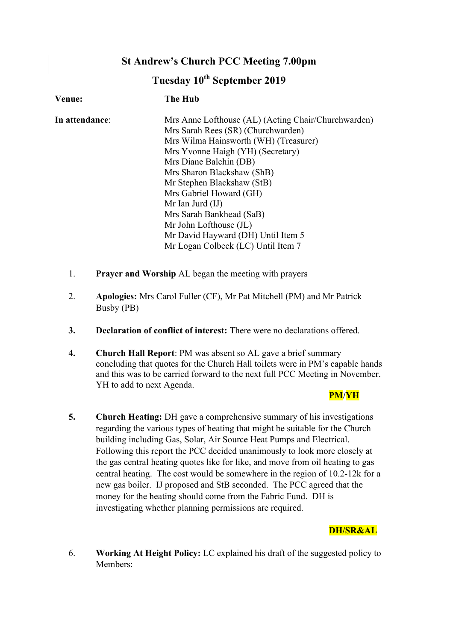# **St Andrew's Church PCC Meeting 7.00pm**

# **Tuesday 10th September 2019**

| <b>Venue:</b>  | <b>The Hub</b>                                      |
|----------------|-----------------------------------------------------|
| In attendance: | Mrs Anne Lofthouse (AL) (Acting Chair/Churchwarden) |
|                | Mrs Sarah Rees (SR) (Churchwarden)                  |
|                | Mrs Wilma Hainsworth (WH) (Treasurer)               |
|                | Mrs Yvonne Haigh (YH) (Secretary)                   |
|                | Mrs Diane Balchin (DB)                              |
|                | Mrs Sharon Blackshaw (ShB)                          |
|                | Mr Stephen Blackshaw (StB)                          |
|                | Mrs Gabriel Howard (GH)                             |
|                | Mr Ian Jurd $(II)$                                  |
|                | Mrs Sarah Bankhead (SaB)                            |
|                | Mr John Lofthouse (JL)                              |
|                | Mr David Hayward (DH) Until Item 5                  |
|                | Mr Logan Colbeck (LC) Until Item 7                  |

- 1. **Prayer and Worship** AL began the meeting with prayers
- 2. **Apologies:** Mrs Carol Fuller (CF), Mr Pat Mitchell (PM) and Mr Patrick Busby (PB)
- **3. Declaration of conflict of interest:** There were no declarations offered.
- **4. Church Hall Report**: PM was absent so AL gave a brief summary concluding that quotes for the Church Hall toilets were in PM's capable hands and this was to be carried forward to the next full PCC Meeting in November. YH to add to next Agenda.

## **PM/YH**

**5. Church Heating:** DH gave a comprehensive summary of his investigations regarding the various types of heating that might be suitable for the Church building including Gas, Solar, Air Source Heat Pumps and Electrical. Following this report the PCC decided unanimously to look more closely at the gas central heating quotes like for like, and move from oil heating to gas central heating. The cost would be somewhere in the region of 10.2-12k for a new gas boiler. IJ proposed and StB seconded. The PCC agreed that the money for the heating should come from the Fabric Fund. DH is investigating whether planning permissions are required.

# **DH/SR&AL**

6. **Working At Height Policy:** LC explained his draft of the suggested policy to Members: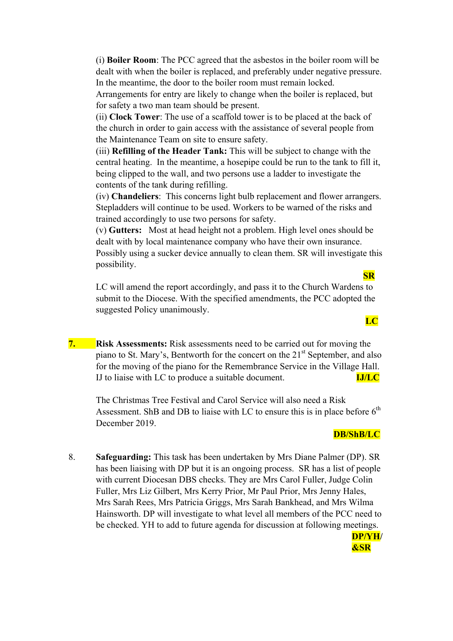(i) **Boiler Room**: The PCC agreed that the asbestos in the boiler room will be dealt with when the boiler is replaced, and preferably under negative pressure. In the meantime, the door to the boiler room must remain locked.

Arrangements for entry are likely to change when the boiler is replaced, but for safety a two man team should be present.

(ii) **Clock Tower**: The use of a scaffold tower is to be placed at the back of the church in order to gain access with the assistance of several people from the Maintenance Team on site to ensure safety.

(iii) **Refilling of the Header Tank:** This will be subject to change with the central heating. In the meantime, a hosepipe could be run to the tank to fill it, being clipped to the wall, and two persons use a ladder to investigate the contents of the tank during refilling.

(iv) **Chandeliers**: This concerns light bulb replacement and flower arrangers. Stepladders will continue to be used. Workers to be warned of the risks and trained accordingly to use two persons for safety.

(v) **Gutters:** Most at head height not a problem. High level ones should be dealt with by local maintenance company who have their own insurance. Possibly using a sucker device annually to clean them. SR will investigate this possibility.

LC will amend the report accordingly, and pass it to the Church Wardens to submit to the Diocese. With the specified amendments, the PCC adopted the suggested Policy unanimously.

**7. Risk Assessments:** Risk assessments need to be carried out for moving the piano to St. Mary's, Bentworth for the concert on the 21<sup>st</sup> September, and also for the moving of the piano for the Remembrance Service in the Village Hall. IJ to liaise with LC to produce a suitable document. **IJ/LC**

The Christmas Tree Festival and Carol Service will also need a Risk Assessment. ShB and DB to liaise with LC to ensure this is in place before  $6<sup>th</sup>$ December 2019.

#### **DB/ShB/LC**

 **&SR**

8. **Safeguarding:** This task has been undertaken by Mrs Diane Palmer (DP). SR has been liaising with DP but it is an ongoing process. SR has a list of people with current Diocesan DBS checks. They are Mrs Carol Fuller, Judge Colin Fuller, Mrs Liz Gilbert, Mrs Kerry Prior, Mr Paul Prior, Mrs Jenny Hales, Mrs Sarah Rees, Mrs Patricia Griggs, Mrs Sarah Bankhead, and Mrs Wilma Hainsworth. DP will investigate to what level all members of the PCC need to be checked. YH to add to future agenda for discussion at following meetings. **DP/YH/**

 **SR**

**LC**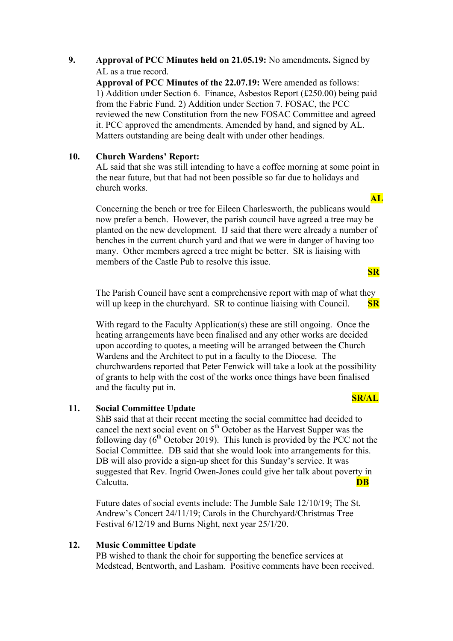# **9. Approval of PCC Minutes held on 21.05.19:** No amendments**.** Signed by AL as a true record.

**Approval of PCC Minutes of the 22.07.19:** Were amended as follows: 1) Addition under Section 6. Finance, Asbestos Report (£250.00) being paid from the Fabric Fund. 2) Addition under Section 7. FOSAC, the PCC reviewed the new Constitution from the new FOSAC Committee and agreed it. PCC approved the amendments. Amended by hand, and signed by AL. Matters outstanding are being dealt with under other headings.

## **10. Church Wardens' Report:**

AL said that she was still intending to have a coffee morning at some point in the near future, but that had not been possible so far due to holidays and church works.

Concerning the bench or tree for Eileen Charlesworth, the publicans would now prefer a bench. However, the parish council have agreed a tree may be planted on the new development. IJ said that there were already a number of benches in the current church yard and that we were in danger of having too many. Other members agreed a tree might be better. SR is liaising with members of the Castle Pub to resolve this issue.

The Parish Council have sent a comprehensive report with map of what they will up keep in the churchyard. SR to continue liaising with Council. **SR** 

With regard to the Faculty Application(s) these are still ongoing. Once the heating arrangements have been finalised and any other works are decided upon according to quotes, a meeting will be arranged between the Church Wardens and the Architect to put in a faculty to the Diocese. The churchwardens reported that Peter Fenwick will take a look at the possibility of grants to help with the cost of the works once things have been finalised and the faculty put in.

## **11. Social Committee Update**

ShB said that at their recent meeting the social committee had decided to cancel the next social event on  $5<sup>th</sup>$  October as the Harvest Supper was the following day  $(6<sup>th</sup> October 2019)$ . This lunch is provided by the PCC not the Social Committee. DB said that she would look into arrangements for this. DB will also provide a sign-up sheet for this Sunday's service. It was suggested that Rev. Ingrid Owen-Jones could give her talk about poverty in Calcutta. **DB**

Future dates of social events include: The Jumble Sale 12/10/19; The St. Andrew's Concert 24/11/19; Carols in the Churchyard/Christmas Tree Festival 6/12/19 and Burns Night, next year 25/1/20.

## **12. Music Committee Update**

PB wished to thank the choir for supporting the benefice services at Medstead, Bentworth, and Lasham. Positive comments have been received.

#### **SR/AL**

# **AL**

**SR**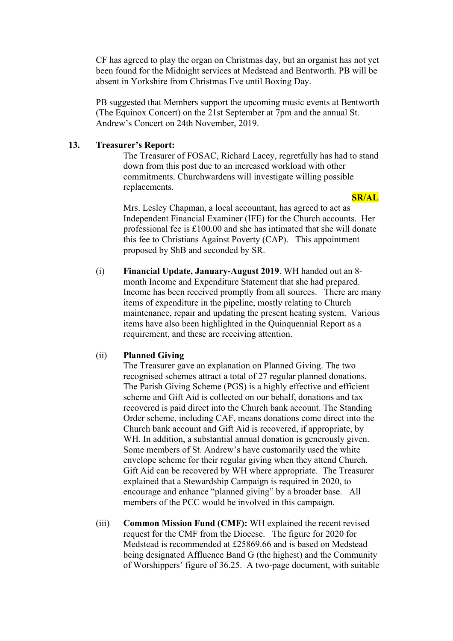CF has agreed to play the organ on Christmas day, but an organist has not yet been found for the Midnight services at Medstead and Bentworth. PB will be absent in Yorkshire from Christmas Eve until Boxing Day.

PB suggested that Members support the upcoming music events at Bentworth (The Equinox Concert) on the 21st September at 7pm and the annual St. Andrew's Concert on 24th November, 2019.

#### **13. Treasurer's Report:**

The Treasurer of FOSAC, Richard Lacey, regretfully has had to stand down from this post due to an increased workload with other commitments. Churchwardens will investigate willing possible replacements.

#### **SR/AL**

Mrs. Lesley Chapman, a local accountant, has agreed to act as Independent Financial Examiner (IFE) for the Church accounts. Her professional fee is £100.00 and she has intimated that she will donate this fee to Christians Against Poverty (CAP). This appointment proposed by ShB and seconded by SR.

(i) **Financial Update, January-August 2019**. WH handed out an 8 month Income and Expenditure Statement that she had prepared. Income has been received promptly from all sources. There are many items of expenditure in the pipeline, mostly relating to Church maintenance, repair and updating the present heating system. Various items have also been highlighted in the Quinquennial Report as a requirement, and these are receiving attention.

## (ii) **Planned Giving**

The Treasurer gave an explanation on Planned Giving. The two recognised schemes attract a total of 27 regular planned donations. The Parish Giving Scheme (PGS) is a highly effective and efficient scheme and Gift Aid is collected on our behalf, donations and tax recovered is paid direct into the Church bank account. The Standing Order scheme, including CAF, means donations come direct into the Church bank account and Gift Aid is recovered, if appropriate, by WH. In addition, a substantial annual donation is generously given. Some members of St. Andrew's have customarily used the white envelope scheme for their regular giving when they attend Church. Gift Aid can be recovered by WH where appropriate. The Treasurer explained that a Stewardship Campaign is required in 2020, to encourage and enhance "planned giving" by a broader base. All members of the PCC would be involved in this campaign.

(iii) **Common Mission Fund (CMF):** WH explained the recent revised request for the CMF from the Diocese. The figure for 2020 for Medstead is recommended at £25869.66 and is based on Medstead being designated Affluence Band G (the highest) and the Community of Worshippers' figure of 36.25. A two-page document, with suitable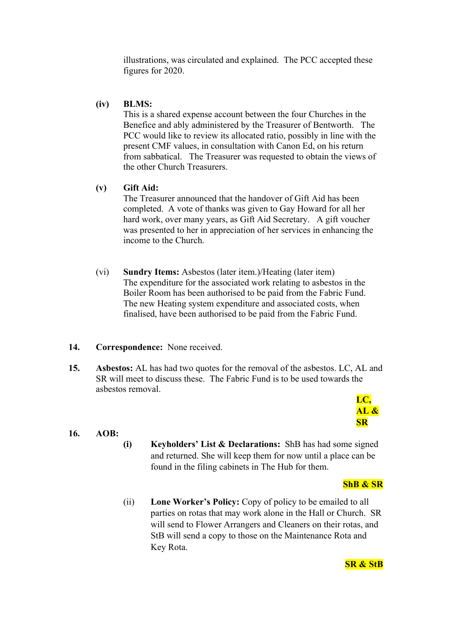illustrations, was circulated and explained. The PCC accepted these figures for 2020.

#### **(iv) BLMS:**

This is a shared expense account between the four Churches in the Benefice and ably administered by the Treasurer of Bentworth. The PCC would like to review its allocated ratio, possibly in line with the present CMF values, in consultation with Canon Ed, on his return from sabbatical. The Treasurer was requested to obtain the views of the other Church Treasurers.

#### **(v) Gift Aid:**

The Treasurer announced that the handover of Gift Aid has been completed. A vote of thanks was given to Gay Howard for all her hard work, over many years, as Gift Aid Secretary. A gift voucher was presented to her in appreciation of her services in enhancing the income to the Church.

(vi) **Sundry Items:** Asbestos (later item.)/Heating (later item) The expenditure for the associated work relating to asbestos in the Boiler Room has been authorised to be paid from the Fabric Fund. The new Heating system expenditure and associated costs, when finalised, have been authorised to be paid from the Fabric Fund.

#### **14. Correspondence:** None received.

**15. Asbestos:** AL has had two quotes for the removal of the asbestos. LC, AL and SR will meet to discuss these. The Fabric Fund is to be used towards the asbestos removal.

## **LC, AL & SR**

## **16. AOB:**

**(i) Keyholders' List & Declarations:** ShB has had some signed and returned. She will keep them for now until a place can be found in the filing cabinets in The Hub for them.

#### **ShB & SR**

(ii) **Lone Worker's Policy:** Copy of policy to be emailed to all parties on rotas that may work alone in the Hall or Church. SR will send to Flower Arrangers and Cleaners on their rotas, and StB will send a copy to those on the Maintenance Rota and Key Rota.